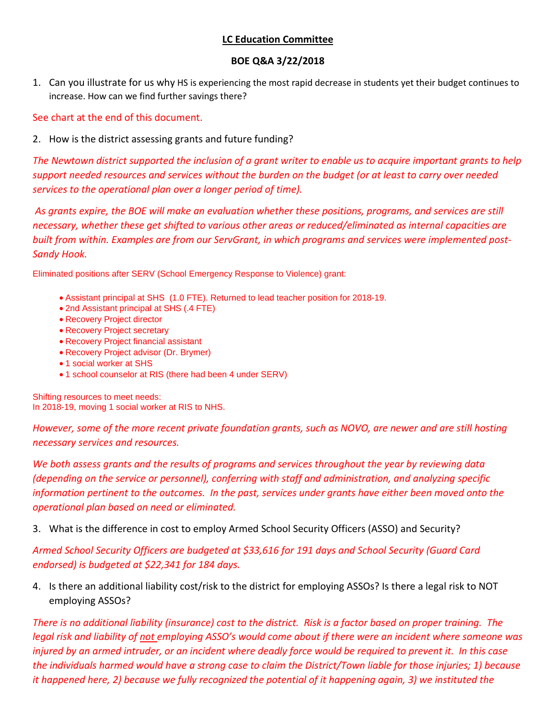# **LC Education Committee**

# **BOE Q&A 3/22/2018**

1. Can you illustrate for us why HS is experiencing the most rapid decrease in students yet their budget continues to increase. How can we find further savings there?

See chart at the end of this document.

2. How is the district assessing grants and future funding?

*The Newtown district supported the inclusion of a grant writer to enable us to acquire important grants to help support needed resources and services without the burden on the budget (or at least to carry over needed services to the operational plan over a longer period of time).* 

*As grants expire, the BOE will make an evaluation whether these positions, programs, and services are still necessary, whether these get shifted to various other areas or reduced/eliminated as internal capacities are built from within. Examples are from our ServGrant, in which programs and services were implemented post-Sandy Hook.* 

Eliminated positions after SERV (School Emergency Response to Violence) grant:

- Assistant principal at SHS (1.0 FTE). Returned to lead teacher position for 2018-19.
- 2nd Assistant principal at SHS (.4 FTE)
- Recovery Project director
- Recovery Project secretary
- Recovery Project financial assistant
- Recovery Project advisor (Dr. Brymer)
- 1 social worker at SHS
- 1 school counselor at RIS (there had been 4 under SERV)

Shifting resources to meet needs: In 2018-19, moving 1 social worker at RIS to NHS.

*However, some of the more recent private foundation grants, such as NOVO, are newer and are still hosting necessary services and resources.* 

*We both assess grants and the results of programs and services throughout the year by reviewing data (depending on the service or personnel), conferring with staff and administration, and analyzing specific information pertinent to the outcomes. In the past, services under grants have either been moved onto the operational plan based on need or eliminated.* 

# 3. What is the difference in cost to employ Armed School Security Officers (ASSO) and Security?

*Armed School Security Officers are budgeted at \$33,616 for 191 days and School Security (Guard Card endorsed) is budgeted at \$22,341 for 184 days.*

4. Is there an additional liability cost/risk to the district for employing ASSOs? Is there a legal risk to NOT employing ASSOs?

*There is no additional liability (insurance) cost to the district. Risk is a factor based on proper training. The legal risk and liability of not employing ASSO's would come about if there were an incident where someone was injured by an armed intruder, or an incident where deadly force would be required to prevent it. In this case the individuals harmed would have a strong case to claim the District/Town liable for those injuries; 1) because it happened here, 2) because we fully recognized the potential of it happening again, 3) we instituted the*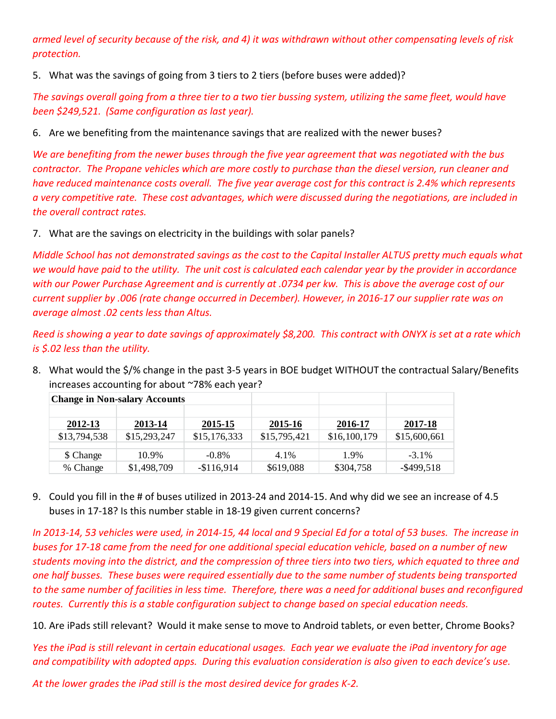*armed level of security because of the risk, and 4) it was withdrawn without other compensating levels of risk protection.*

5. What was the savings of going from 3 tiers to 2 tiers (before buses were added)?

*The savings overall going from a three tier to a two tier bussing system, utilizing the same fleet, would have been \$249,521. (Same configuration as last year).*

6. Are we benefiting from the maintenance savings that are realized with the newer buses?

*We are benefiting from the newer buses through the five year agreement that was negotiated with the bus contractor. The Propane vehicles which are more costly to purchase than the diesel version, run cleaner and have reduced maintenance costs overall. The five year average cost for this contract is 2.4% which represents a very competitive rate. These cost advantages, which were discussed during the negotiations, are included in the overall contract rates.*

7. What are the savings on electricity in the buildings with solar panels?

*Middle School has not demonstrated savings as the cost to the Capital Installer ALTUS pretty much equals what we would have paid to the utility. The unit cost is calculated each calendar year by the provider in accordance with our Power Purchase Agreement and is currently at .0734 per kw. This is above the average cost of our current supplier by .006 (rate change occurred in December). However, in 2016-17 our supplier rate was on average almost .02 cents less than Altus.* 

*Reed is showing a year to date savings of approximately \$8,200. This contract with ONYX is set at a rate which is \$.02 less than the utility.*

8. What would the \$/% change in the past 3-5 years in BOE budget WITHOUT the contractual Salary/Benefits increases accounting for about ~78% each year?

|              | <b>Change in Non-salary Accounts</b> |              |              |              |               |
|--------------|--------------------------------------|--------------|--------------|--------------|---------------|
|              |                                      |              |              |              |               |
| 2012-13      | 2013-14                              | 2015-15      | 2015-16      | 2016-17      | 2017-18       |
| \$13,794,538 | \$15,293,247                         | \$15,176,333 | \$15,795,421 | \$16,100,179 | \$15,600,661  |
|              |                                      |              |              |              |               |
| \$ Change    | 10.9%                                | $-0.8\%$     | 4.1%         | 1.9%         | $-3.1\%$      |
| % Change     | \$1,498,709                          | $-$116,914$  | \$619,088    | \$304,758    | $-$ \$499,518 |

9. Could you fill in the # of buses utilized in 2013-24 and 2014-15. And why did we see an increase of 4.5 buses in 17-18? Is this number stable in 18-19 given current concerns?

*In 2013-14, 53 vehicles were used, in 2014-15, 44 local and 9 Special Ed for a total of 53 buses. The increase in buses for 17-18 came from the need for one additional special education vehicle, based on a number of new students moving into the district, and the compression of three tiers into two tiers, which equated to three and one half busses. These buses were required essentially due to the same number of students being transported to the same number of facilities in less time. Therefore, there was a need for additional buses and reconfigured routes. Currently this is a stable configuration subject to change based on special education needs.* 

10. Are iPads still relevant? Would it make sense to move to Android tablets, or even better, Chrome Books?

*Yes the iPad is still relevant in certain educational usages. Each year we evaluate the iPad inventory for age and compatibility with adopted apps. During this evaluation consideration is also given to each device's use.* 

*At the lower grades the iPad still is the most desired device for grades K-2.*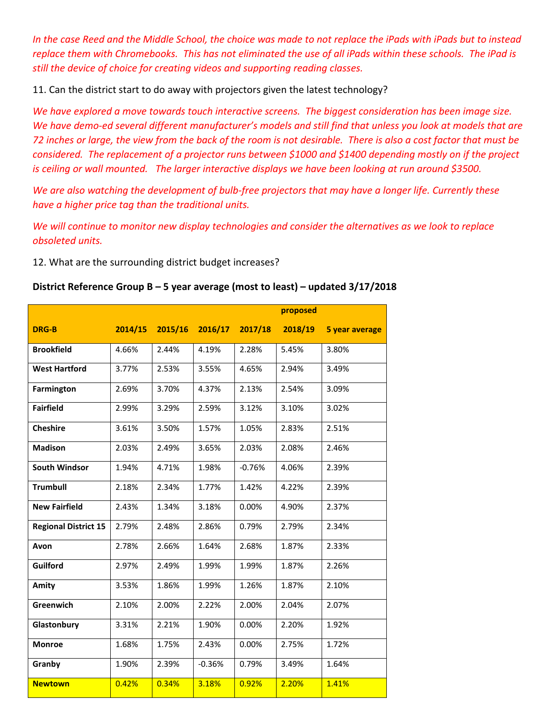*In the case Reed and the Middle School, the choice was made to not replace the iPads with iPads but to instead replace them with Chromebooks. This has not eliminated the use of all iPads within these schools. The iPad is still the device of choice for creating videos and supporting reading classes.*

11. Can the district start to do away with projectors given the latest technology?

*We have explored a move towards touch interactive screens. The biggest consideration has been image size. We have demo-ed several different manufacturer's models and still find that unless you look at models that are 72 inches or large, the view from the back of the room is not desirable. There is also a cost factor that must be considered. The replacement of a projector runs between \$1000 and \$1400 depending mostly on if the project is ceiling or wall mounted. The larger interactive displays we have been looking at run around \$3500.*

*We are also watching the development of bulb-free projectors that may have a longer life. Currently these have a higher price tag than the traditional units.*

*We will continue to monitor new display technologies and consider the alternatives as we look to replace obsoleted units.*

12. What are the surrounding district budget increases?

# **District Reference Group B – 5 year average (most to least) – updated 3/17/2018**

|                             |       |                 |          | proposed |         |                |  |  |  |  |
|-----------------------------|-------|-----------------|----------|----------|---------|----------------|--|--|--|--|
| <b>DRG-B</b>                |       | 2014/15 2015/16 | 2016/17  | 2017/18  | 2018/19 | 5 year average |  |  |  |  |
| <b>Brookfield</b>           | 4.66% | 2.44%           | 4.19%    | 2.28%    | 5.45%   | 3.80%          |  |  |  |  |
| <b>West Hartford</b>        | 3.77% | 2.53%           | 3.55%    | 4.65%    | 2.94%   | 3.49%          |  |  |  |  |
| Farmington                  | 2.69% | 3.70%           | 4.37%    | 2.13%    | 2.54%   | 3.09%          |  |  |  |  |
| <b>Fairfield</b>            | 2.99% | 3.29%           | 2.59%    | 3.12%    | 3.10%   | 3.02%          |  |  |  |  |
| <b>Cheshire</b>             | 3.61% | 3.50%           | 1.57%    | 1.05%    | 2.83%   | 2.51%          |  |  |  |  |
| <b>Madison</b>              | 2.03% | 2.49%           | 3.65%    | 2.03%    | 2.08%   | 2.46%          |  |  |  |  |
| <b>South Windsor</b>        | 1.94% | 4.71%           | 1.98%    | $-0.76%$ | 4.06%   | 2.39%          |  |  |  |  |
| <b>Trumbull</b>             | 2.18% | 2.34%           | 1.77%    | 1.42%    | 4.22%   | 2.39%          |  |  |  |  |
| <b>New Fairfield</b>        | 2.43% | 1.34%           | 3.18%    | 0.00%    | 4.90%   | 2.37%          |  |  |  |  |
| <b>Regional District 15</b> | 2.79% | 2.48%           | 2.86%    | 0.79%    | 2.79%   | 2.34%          |  |  |  |  |
| Avon                        | 2.78% | 2.66%           | 1.64%    | 2.68%    | 1.87%   | 2.33%          |  |  |  |  |
| Guilford                    | 2.97% | 2.49%           | 1.99%    | 1.99%    | 1.87%   | 2.26%          |  |  |  |  |
| Amity                       | 3.53% | 1.86%           | 1.99%    | 1.26%    | 1.87%   | 2.10%          |  |  |  |  |
| Greenwich                   | 2.10% | 2.00%           | 2.22%    | 2.00%    | 2.04%   | 2.07%          |  |  |  |  |
| Glastonbury                 | 3.31% | 2.21%           | 1.90%    | 0.00%    | 2.20%   | 1.92%          |  |  |  |  |
| <b>Monroe</b>               | 1.68% | 1.75%           | 2.43%    | 0.00%    | 2.75%   | 1.72%          |  |  |  |  |
| Granby                      | 1.90% | 2.39%           | $-0.36%$ | 0.79%    | 3.49%   | 1.64%          |  |  |  |  |
| <b>Newtown</b>              | 0.42% | 0.34%           | 3.18%    | 0.92%    | 2.20%   | 1.41%          |  |  |  |  |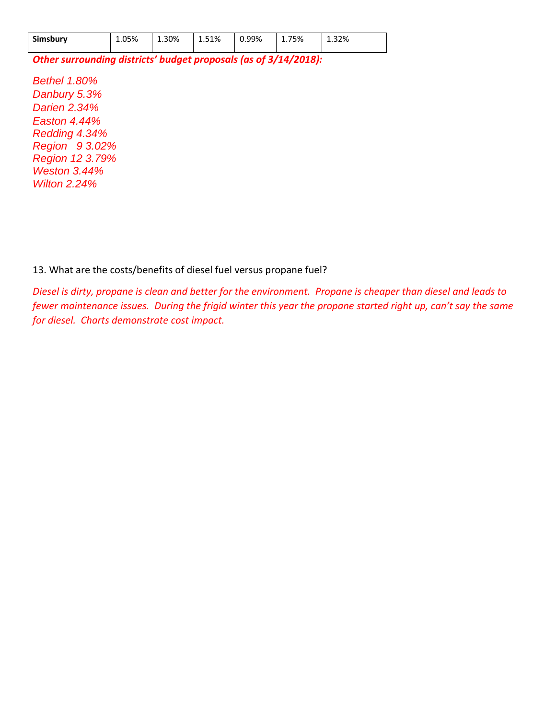| Simsbury | 1.05% | 1.30% | 1.51% | 0.99% | 1.75% | 1.32% |
|----------|-------|-------|-------|-------|-------|-------|
|----------|-------|-------|-------|-------|-------|-------|

*Other surrounding districts' budget proposals (as of 3/14/2018):* 

*Bethel 1.80% Danbury 5.3% Darien 2.34% Easton 4.44% Redding 4.34% Region 9 3.02% Region 12 3.79% Weston 3.44% Wilton 2.24%*

13. What are the costs/benefits of diesel fuel versus propane fuel?

*Diesel is dirty, propane is clean and better for the environment. Propane is cheaper than diesel and leads to fewer maintenance issues. During the frigid winter this year the propane started right up, can't say the same for diesel. Charts demonstrate cost impact.*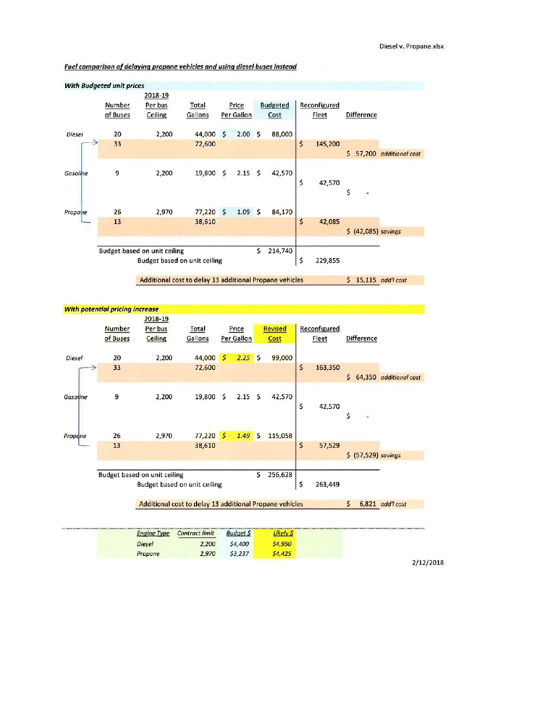Fuel comparison of delaying propane vehicles and using diesel buses instead



**With potential pricing increase** 2018-19 **Number** Per bus Total Price **Revised** Reconfigured of Buses **Ceiling** Gallons Per Gallon Cost **Fleet** Difference Diesel 20 2,200 44,000  $\mathcal{S}$  $2.25S$ 99,000 33 72,600 \$ 163,350  $$64,350$  additional cost 9 2,200 19,800 \$  $2.15$  \$ 42,570 Gasoline \$ 42,570 \$ 2,970  $77,220$  \$  $1.49$  \$ 115,058  $26$ Propone \$ 57,529 13 38,610  $$ (57,529)$  savings **Budget based on unit ceiling** 256,628 \$ \$ Budget based on unit ceiling 263,449 Additional cost to delay 13 additional Propane vehicles  $$6,821$  add'l cost Contract limit **Engine Type Budget \$** Likely \$ Diesel \$4,400 \$4,950 2,200 Propane 2,970 \$3,237  $$4,425$ 

2/12/2018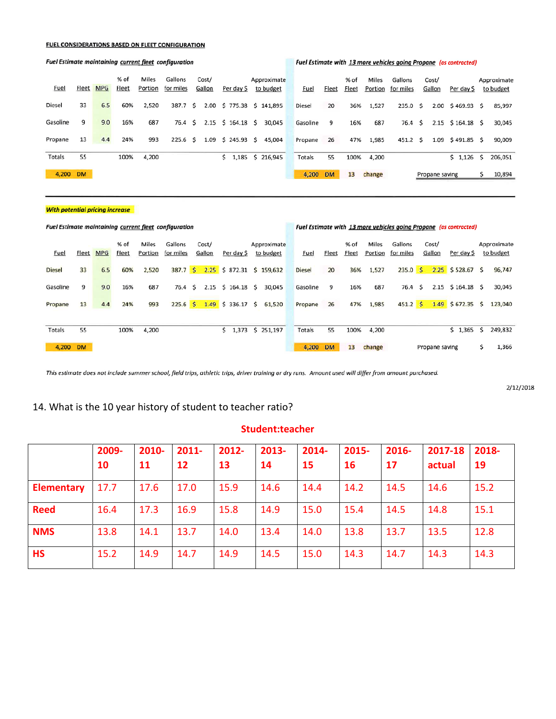#### **FUEL CONSIDERATIONS BASED ON FLEET CONFIGURATION**

#### % of Miles Gallons Cost/ Approximate % of Miles Gallons Approximate Cost/ **Fuel** Fleet MPG <u>Fleet</u> Portion for miles Gallon Per day \$ to budget **Fuel** Fleet Fleet Portion for miles Gallon Per day \$ to budget Diesel 33  $6.5$ 60% 2,520 387.7 \$ 2.00 \$ 775.38 \$ 141,895 Diesel 20 36% 1,527 235.0 \$ 2.00 \$469.93 \$ 85,997 Gasoline 9  $9.0$ 16% 687 76.4 \$ 2.15 \$ 164.18 \$ 30,045 Gasoline 9 16% 687  $76.4 \; \text{S}$ 2.15 \$164.18 \$ 30,045 Propane 13  $4.4$ 24% 993 225.6 \$ 1.09 \$ 245.93 \$ 45,004 Propane 26 47% 1,985 451.2 \$ 1.09 \$491.85 \$ 90,009 Totals  $\overline{55}$ 100% 4,200  $$1,185$   $$216,945$ 4,200  $$1,126 $206,051$ 55 100% Totals 4,200 DM 4,200 DM 13 change Propane saving \$ 10,894

#### **With potential pricing increase**

|               | <b>Fuel Estimate maintaining current fleet configuration</b> |            |                      |                  |                      |  |                 | Fuel Estimate with 13 more vehicles going Propane (as contracted) |                          |  |               |           |               |                  |                      |  |                 |                    |     |                          |
|---------------|--------------------------------------------------------------|------------|----------------------|------------------|----------------------|--|-----------------|-------------------------------------------------------------------|--------------------------|--|---------------|-----------|---------------|------------------|----------------------|--|-----------------|--------------------|-----|--------------------------|
| <b>Fuel</b>   | <u>Fleet</u>                                                 | <b>MPG</b> | % of<br><b>Fleet</b> | Miles<br>Portion | Gallons<br>for miles |  | Cost/<br>Gallon | Per day \$                                                        | Approximate<br>to budget |  | <u>Fuel</u>   | Fleet     | % of<br>Fleet | Miles<br>Portion | Gallons<br>for miles |  | Cost/<br>Gallon | Per day \$         |     | Approximate<br>to budget |
| <b>Diesel</b> | 33                                                           | 6.5        | 60%                  | 2,520            | 387.7S               |  |                 | $2.25$ \$ 872.31 \$ 159,632                                       |                          |  | <b>Diesel</b> | 20        | 36%           | 1,527            | 235.0 S              |  |                 | $2.25$ \$528.67 \$ |     | 96,747                   |
| Gasoline      | 9                                                            | 9.0        | 16%                  | 687              | 76.4 \$              |  |                 | $2.15$ \$ 164.18 \$                                               | 30,045                   |  | Gasoline      | 9         | 16%           | 687              | 76.4 \$              |  |                 | $2.15$ \$164.18 \$ |     | 30,045                   |
| Propane       | 13                                                           | 4.4        | 24%                  | 993              | 225.6 \$ 1.49        |  |                 | $$336.17$ \$                                                      | 61,520                   |  | Propane       | 26        | 47%           | 1,985            | 451.2 S              |  | 1.49            | $$672.35$ \$       |     | 123,040                  |
| Totals        | 55                                                           |            | 100%                 | 4,200            |                      |  |                 | 1,373<br>s.                                                       | \$251,197                |  | Totals        | 55        | 100%          | 4,200            |                      |  |                 | \$1.365            | - S | 249,832                  |
| 4,200         | <b>DM</b>                                                    |            |                      |                  |                      |  |                 |                                                                   |                          |  | 4,200         | <b>DM</b> | 13            | change           |                      |  | Propane saving  |                    | s   | 1,366                    |

This estimate does not include summer school, field trips, athletic trips, driver training or dry runs. Amount used will differ from amount purchased.

2/12/2018

## 14. What is the 10 year history of student to teacher ratio?

### **Student:teacher**

|                   | 2009- | $2011 -$<br>2010- |      | $2012 -$ | 2013- | 2014- | 2015-     | 2016- | 2017-18 | 2018- |  |
|-------------------|-------|-------------------|------|----------|-------|-------|-----------|-------|---------|-------|--|
|                   | 10    | <b>11</b>         | 12   | 13       | 14    | 15    | <b>16</b> | 17    | actual  | 19    |  |
| <b>Elementary</b> | 17.7  | 17.6              | 17.0 | 15.9     | 14.6  | 14.4  | 14.2      | 14.5  | 14.6    | 15.2  |  |
| <b>Reed</b>       | 16.4  | 17.3              | 16.9 | 15.8     | 14.9  | 15.0  | 15.4      | 14.5  | 14.8    | 15.1  |  |
| <b>NMS</b>        | 13.8  | 14.1              | 13.7 | 14.0     | 13.4  | 14.0  | 13.8      | 13.7  | 13.5    | 12.8  |  |
| <b>HS</b>         | 15.2  | 14.9              | 14.7 | 14.9     | 14.5  | 15.0  | 14.3      | 14.7  | 14.3    | 14.3  |  |

#### Fuel Estimate maintaining current fleet configuration

#### Fuel Estimate with 13 more vehicles going Propane (as contracted)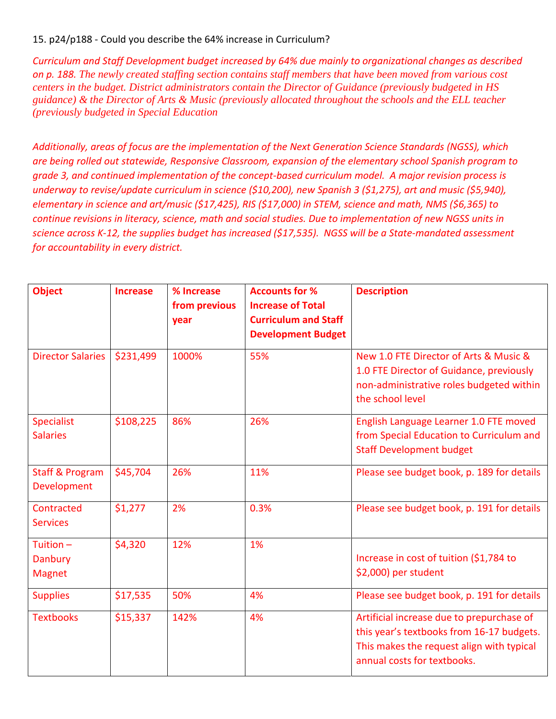# 15. p24/p188 - Could you describe the 64% increase in Curriculum?

*Curriculum and Staff Development budget increased by 64% due mainly to organizational changes as described on p. 188. The newly created staffing section contains staff members that have been moved from various cost centers in the budget. District administrators contain the Director of Guidance (previously budgeted in HS guidance) & the Director of Arts & Music (previously allocated throughout the schools and the ELL teacher (previously budgeted in Special Education*

*Additionally, areas of focus are the implementation of the Next Generation Science Standards (NGSS), which are being rolled out statewide, Responsive Classroom, expansion of the elementary school Spanish program to grade 3, and continued implementation of the concept-based curriculum model. A major revision process is underway to revise/update curriculum in science (\$10,200), new Spanish 3 (\$1,275), art and music (\$5,940), elementary in science and art/music (\$17,425), RIS (\$17,000) in STEM, science and math, NMS (\$6,365) to continue revisions in literacy, science, math and social studies. Due to implementation of new NGSS units in science across K-12, the supplies budget has increased (\$17,535). NGSS will be a State-mandated assessment for accountability in every district.*

| <b>Object</b>                             | <b>Increase</b> | % Increase<br>from previous<br>year | <b>Accounts for %</b><br><b>Increase of Total</b><br><b>Curriculum and Staff</b><br><b>Development Budget</b> | <b>Description</b>                                                                                                                                                 |  |  |  |  |  |
|-------------------------------------------|-----------------|-------------------------------------|---------------------------------------------------------------------------------------------------------------|--------------------------------------------------------------------------------------------------------------------------------------------------------------------|--|--|--|--|--|
| <b>Director Salaries</b>                  | \$231,499       | 1000%                               | 55%                                                                                                           | New 1.0 FTE Director of Arts & Music &<br>1.0 FTE Director of Guidance, previously<br>non-administrative roles budgeted within<br>the school level                 |  |  |  |  |  |
| <b>Specialist</b><br><b>Salaries</b>      | \$108,225       | 86%                                 | 26%                                                                                                           | English Language Learner 1.0 FTE moved<br>from Special Education to Curriculum and<br><b>Staff Development budget</b>                                              |  |  |  |  |  |
| <b>Staff &amp; Program</b><br>Development | \$45,704        | 26%                                 | 11%                                                                                                           | Please see budget book, p. 189 for details                                                                                                                         |  |  |  |  |  |
| Contracted<br><b>Services</b>             | \$1,277         | 2%                                  | 0.3%                                                                                                          | Please see budget book, p. 191 for details                                                                                                                         |  |  |  |  |  |
| Tuition-<br>Danbury<br><b>Magnet</b>      | \$4,320         | 12%                                 | 1%                                                                                                            | Increase in cost of tuition (\$1,784 to<br>\$2,000) per student                                                                                                    |  |  |  |  |  |
| <b>Supplies</b>                           | \$17,535        | 50%                                 | 4%                                                                                                            | Please see budget book, p. 191 for details                                                                                                                         |  |  |  |  |  |
| <b>Textbooks</b>                          | \$15,337        | 142%                                | 4%                                                                                                            | Artificial increase due to prepurchase of<br>this year's textbooks from 16-17 budgets.<br>This makes the request align with typical<br>annual costs for textbooks. |  |  |  |  |  |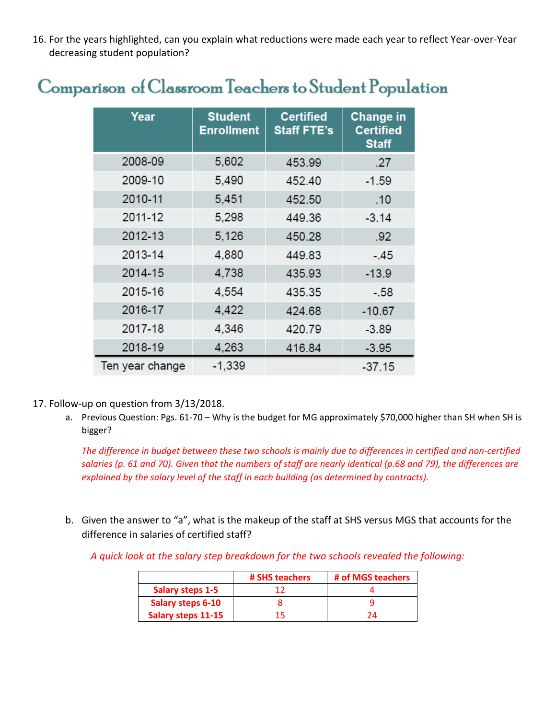16. For the years highlighted, can you explain what reductions were made each year to reflect Year-over-Year decreasing student population?

# Comparison of Classroom Teachers to Student Population

| Year            | <b>Student</b><br><b>Enrollment</b> | <b>Certified</b><br><b>Staff FTE's</b> | <b>Change in</b><br><b>Certified</b><br><b>Staff</b> |  |  |  |
|-----------------|-------------------------------------|----------------------------------------|------------------------------------------------------|--|--|--|
| 2008-09         | 5,602                               | 453.99                                 | .27                                                  |  |  |  |
| 2009-10         | 5,490                               | 452.40                                 | $-1.59$                                              |  |  |  |
| 2010-11         | 5,451                               | 452.50                                 | .10                                                  |  |  |  |
| 2011-12         | 5,298                               | 449.36                                 | $-3.14$                                              |  |  |  |
| 2012-13         | 5,126                               | 450.28                                 | .92                                                  |  |  |  |
| 2013-14         | 4,880                               | 449.83                                 | -.45                                                 |  |  |  |
| 2014-15         | 4,738                               | 435.93                                 | $-13.9$                                              |  |  |  |
| 2015-16         | 4,554                               | 435.35                                 | $-.58$                                               |  |  |  |
| 2016-17         | 4,422                               | 424.68                                 | $-10.67$                                             |  |  |  |
| 2017-18         | 4,346                               | 420.79                                 | $-3.89$                                              |  |  |  |
| 2018-19         | 4,263                               | 416.84                                 | $-3.95$                                              |  |  |  |
| Ten year change | $-1,339$                            |                                        | $-37.15$                                             |  |  |  |

- 17. Follow-up on question from 3/13/2018.
	- a. Previous Question: Pgs. 61-70 Why is the budget for MG approximately \$70,000 higher than SH when SH is bigger?

*The difference in budget between these two schools is mainly due to differences in certified and non-certified salaries (p. 61 and 70). Given that the numbers of staff are nearly identical (p.68 and 79), the differences are explained by the salary level of the staff in each building (as determined by contracts).*

b. Given the answer to "a", what is the makeup of the staff at SHS versus MGS that accounts for the difference in salaries of certified staff?

*A quick look at the salary step breakdown for the two schools revealed the following:*

|                           | # SHS teachers | # of MGS teachers |
|---------------------------|----------------|-------------------|
| <b>Salary steps 1-5</b>   |                |                   |
| <b>Salary steps 6-10</b>  |                |                   |
| <b>Salary steps 11-15</b> | 15             |                   |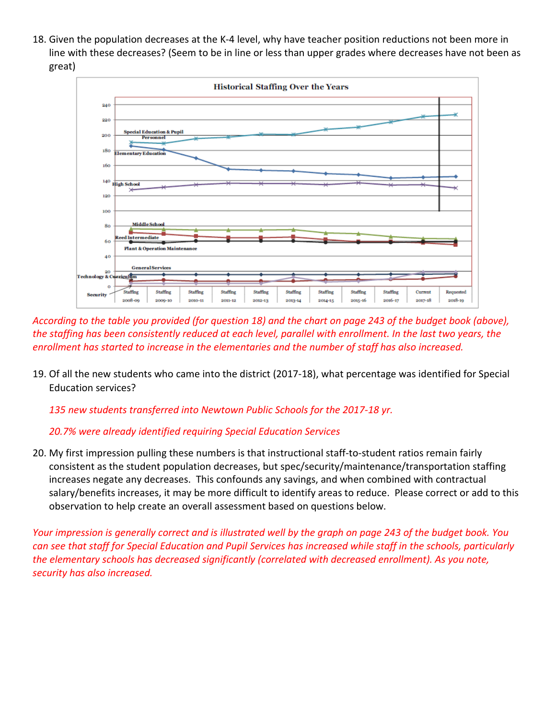18. Given the population decreases at the K-4 level, why have teacher position reductions not been more in line with these decreases? (Seem to be in line or less than upper grades where decreases have not been as great)



*According to the table you provided (for question 18) and the chart on page 243 of the budget book (above), the staffing has been consistently reduced at each level, parallel with enrollment. In the last two years, the enrollment has started to increase in the elementaries and the number of staff has also increased.*

19. Of all the new students who came into the district (2017-18), what percentage was identified for Special Education services?

*135 new students transferred into Newtown Public Schools for the 2017-18 yr.*

# *20.7% were already identified requiring Special Education Services*

20. My first impression pulling these numbers is that instructional staff-to-student ratios remain fairly consistent as the student population decreases, but spec/security/maintenance/transportation staffing increases negate any decreases. This confounds any savings, and when combined with contractual salary/benefits increases, it may be more difficult to identify areas to reduce. Please correct or add to this observation to help create an overall assessment based on questions below.

*Your impression is generally correct and is illustrated well by the graph on page 243 of the budget book. You can see that staff for Special Education and Pupil Services has increased while staff in the schools, particularly the elementary schools has decreased significantly (correlated with decreased enrollment). As you note, security has also increased.*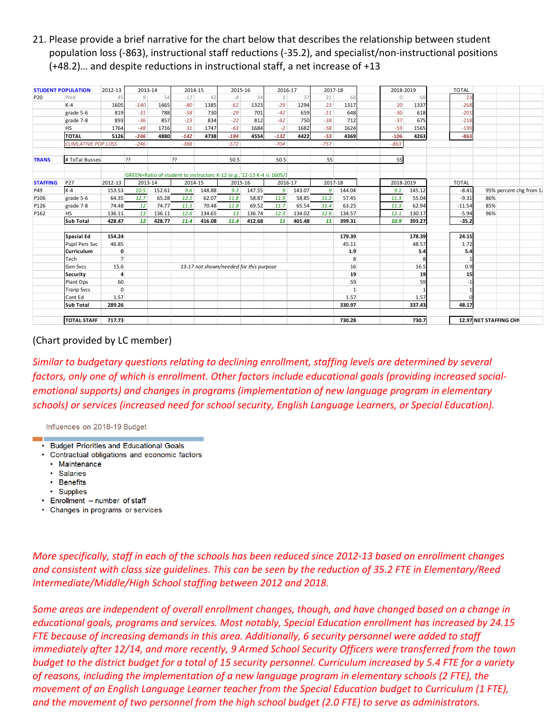21. Please provide a brief narrative for the chart below that describes the relationship between student population loss (-863), instructional staff reductions (-35.2), and specialist/non-instructional positions (+48.2)… and despite reductions in instructional staff, a net increase of +13

|                 | <b>STUDENT POPULATION</b> | 2012-13        | 2013-14   |        | 2014-15 |        | 2015-16                                                                |        | 2016-17        |        | 2017-18 |              | 2018-2019 |        | <b>TOTAL</b> |                        |                         |
|-----------------|---------------------------|----------------|-----------|--------|---------|--------|------------------------------------------------------------------------|--------|----------------|--------|---------|--------------|-----------|--------|--------------|------------------------|-------------------------|
| P <sub>20</sub> | PreK                      | 45             | 9         | 54     | $-12$   | 42     | $-8$                                                                   | 34     | $\overline{3}$ | 37     | 31      | 68           |           | 68     | 23           |                        |                         |
|                 | $K-4$                     | 1605           | $-140$    | 1465   | $-80$   | 1385   | $-62$                                                                  | 1323   | $-29$          | 1294   | 23      | 1317         | 20        | 1337   | $-268$       |                        |                         |
|                 | grade 5-6                 | 819            | $-31$     | 788    | $-58$   | 730    | $-29$                                                                  | 701    | $-42$          | 659    | $-11$   | 648          | $-30$     | 618    | $-201$       |                        |                         |
|                 | grade 7-8                 | 893            | $-36$     | 857    | $-23$   | 834    | $-22$                                                                  | 812    | $-62$          | 750    | $-38$   | 712          | $-37$     | 675    | $-218$       |                        |                         |
|                 | <b>HS</b>                 | 1764           | $-48$     | 1716   | 31      | 1747   | $-63$                                                                  | 1684   | $-2$           | 1682   | $-58$   | 1624         | $-59$     | 1565   | $-199$       |                        |                         |
|                 | <b>TOTAL</b>              | 5126           | $-246$    | 4880   | $-142$  | 4738   | $-184$                                                                 | 4554   | $-132$         | 4422   | $-53$   | 4369         | $-106$    | 4263   | $-863$       |                        |                         |
|                 | <b>CUMLATIVE POP LOSS</b> |                | $-246$    |        | $-388$  |        | $-572$                                                                 |        | $-704$         |        | $-757$  |              | $-863$    |        |              |                        |                         |
| <b>TRANS</b>    | # ToTal Busses            |                | ??        |        | 2?      |        | 50.5                                                                   |        | 50.5           |        | 55      |              | 55        |        |              |                        |                         |
|                 |                           |                |           |        |         |        | GREEN=Ratio of student to instructors K-12 (e.g., '12-13 K-4 is 1605/1 |        |                |        |         |              |           |        |              |                        |                         |
| <b>STAFFING</b> | P27                       | 2012-13        | 2013-14   |        | 2014-15 |        | 2015-16                                                                |        | 2016-17        |        | 2017-18 |              | 2018-2019 |        | <b>TOTAL</b> |                        |                         |
| P49             | $K-4$                     | 153.53         | 10.5      | 152.61 | 9.6     | 148.88 | 9.3                                                                    | 147.55 | 9              | 143.07 | 9       | 144.04       | 9.1       | 145.12 | $-8.41$      |                        | 95% percent chg from 1. |
| P106            | grade 5-6                 | 64.35          | 12.7      | 65.28  | 12.1    | 62.07  | 11.8                                                                   | 58.87  | 11.9           | 58.85  | 11.2    | 57.45        | 11.3      | 55.04  | $-9.31$      | 86%                    |                         |
| P126            | grade 7-8                 | 74.48          | <b>12</b> | 74.77  | 11.5    | 70.48  | 11.8                                                                   | 69.52  | 11.7           | 65.54  | 11.4    | 63.25        | 11.3      | 62.94  | $-11.54$     | 85%                    |                         |
| P162            | <b>HS</b>                 | 136.11         | 13        | 136.11 | 12.6    | 134.65 | 13                                                                     | 136.74 | 12.3           | 134.02 | 12.6    | 134.57       | 12.1      | 130.17 | $-5.94$      | 96%                    |                         |
|                 | <b>Sub Total</b>          | 428.47         | 12        | 428.77 | 11.4    | 416.08 | 11.4                                                                   | 412.68 | 11             | 401.48 | 11      | 399.31       | 10.9      | 393.27 | $-35.2$      |                        |                         |
|                 | <b>Special Ed</b>         | 154.24         |           |        |         |        |                                                                        |        |                |        |         | 179.39       |           | 178.39 | 24.15        |                        |                         |
|                 | Pupil Pers Svc            | 46.85          |           |        |         |        |                                                                        |        |                |        |         | 45.11        |           | 48.57  | 1.72         |                        |                         |
|                 | Curriculum                | $\mathbf 0$    |           |        |         |        |                                                                        |        |                |        |         | 1.9          |           | 5.4    | 5.4          |                        |                         |
|                 | Tech                      | $\overline{7}$ |           |        |         |        |                                                                        |        |                |        |         | 8            |           |        |              |                        |                         |
|                 | Gen Svcs                  | 15.6           |           |        |         |        | 13-17 not shown/needed for this purpose                                |        |                |        |         | 16           |           | 16.5   | 0.9          |                        |                         |
|                 | <b>Security</b>           | 4              |           |        |         |        |                                                                        |        |                |        |         | 19           |           | 19     | 15           |                        |                         |
|                 | Plant Ops                 | 60             |           |        |         |        |                                                                        |        |                |        |         | 59           |           | 59     |              |                        |                         |
|                 | <b>Tranp Svcs</b>         | $\mathbf{0}$   |           |        |         |        |                                                                        |        |                |        |         | $\mathbf{1}$ |           |        |              |                        |                         |
|                 | Cont Ed                   | 1.57           |           |        |         |        |                                                                        |        |                |        |         | 1.57         |           | 1.57   |              |                        |                         |
|                 | <b>Sub Total</b>          | 289.26         |           |        |         |        |                                                                        |        |                |        |         | 330.97       |           | 337.43 | 48.17        |                        |                         |
|                 | <b>TOTAL STAFF</b>        | 717.73         |           |        |         |        |                                                                        |        |                |        |         | 730.28       |           | 730.7  |              | 12.97 NET STAFFING CHN |                         |

# (Chart provided by LC member)

*Similar to budgetary questions relating to declining enrollment, staffing levels are determined by several factors, only one of which is enrollment. Other factors include educational goals (providing increased socialemotional supports) and changes in programs (implementation of new language program in elementary schools) or services (increased need for school security, English Language Learners, or Special Education).*

Influences on 2018-19 Budget

- Budget Priorities and Educational Goals
- Contractual obligations and economic factors
	- Maintenance
	- Salaries
	- Benefits
	- Supplies
- Enrollment number of staff
- Changes in programs or services

*More specifically, staff in each of the schools has been reduced since 2012-13 based on enrollment changes and consistent with class size guidelines. This can be seen by the reduction of 35.2 FTE in Elementary/Reed Intermediate/Middle/High School staffing between 2012 and 2018.*

*Some areas are independent of overall enrollment changes, though, and have changed based on a change in educational goals, programs and services. Most notably, Special Education enrollment has increased by 24.15 FTE because of increasing demands in this area. Additionally, 6 security personnel were added to staff immediately after 12/14, and more recently, 9 Armed School Security Officers were transferred from the town budget to the district budget for a total of 15 security personnel. Curriculum increased by 5.4 FTE for a variety of reasons, including the implementation of a new language program in elementary schools (2 FTE), the movement of an English Language Learner teacher from the Special Education budget to Curriculum (1 FTE), and the movement of two personnel from the high school budget (2.0 FTE) to serve as administrators.*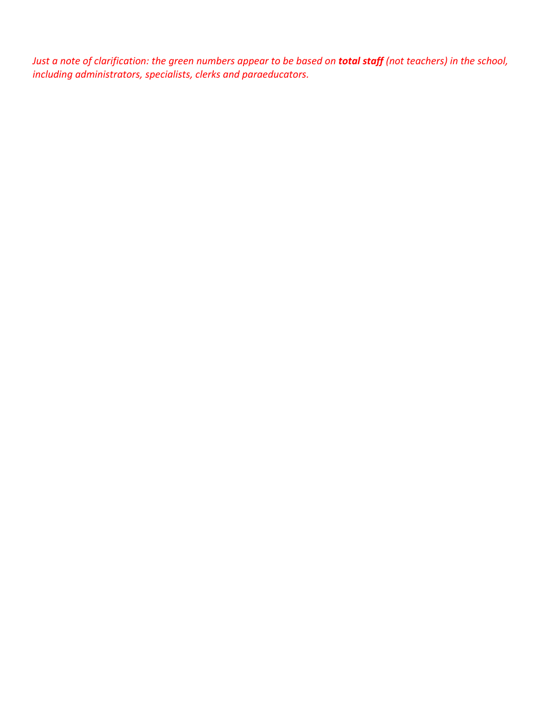*Just a note of clarification: the green numbers appear to be based on total staff (not teachers) in the school, including administrators, specialists, clerks and paraeducators.*